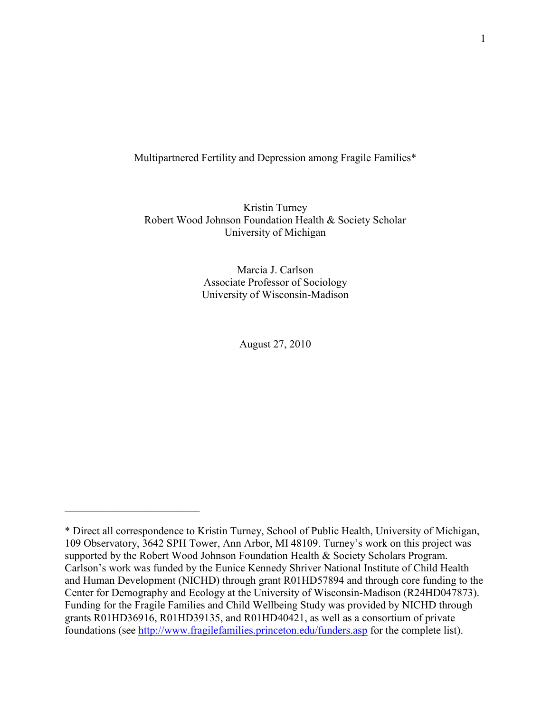Multipartnered Fertility and Depression among Fragile Families\*

Kristin Turney Robert Wood Johnson Foundation Health & Society Scholar University of Michigan

> Marcia J. Carlson Associate Professor of Sociology University of Wisconsin-Madison

> > August 27, 2010

 $\mathcal{L}_\text{max}$  , where  $\mathcal{L}_\text{max}$  , we have the set of the set of the set of the set of the set of the set of the set of the set of the set of the set of the set of the set of the set of the set of the set of the set of

<sup>\*</sup> Direct all correspondence to Kristin Turney, School of Public Health, University of Michigan, 109 Observatory, 3642 SPH Tower, Ann Arbor, MI 48109. Turney's work on this project was supported by the Robert Wood Johnson Foundation Health & Society Scholars Program. Carlson's work was funded by the Eunice Kennedy Shriver National Institute of Child Health and Human Development (NICHD) through grant R01HD57894 and through core funding to the Center for Demography and Ecology at the University of Wisconsin-Madison (R24HD047873). Funding for the Fragile Families and Child Wellbeing Study was provided by NICHD through grants R01HD36916, R01HD39135, and R01HD40421, as well as a consortium of private foundations (see<http://www.fragilefamilies.princeton.edu/funders.asp> for the complete list).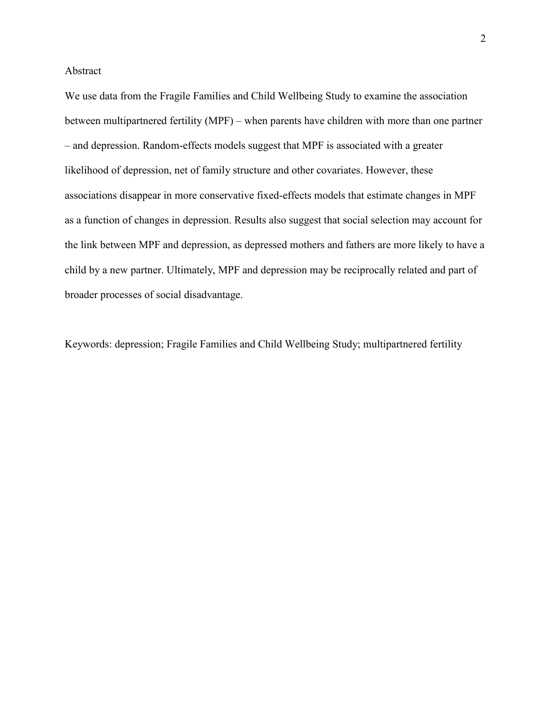Abstract

We use data from the Fragile Families and Child Wellbeing Study to examine the association between multipartnered fertility (MPF) – when parents have children with more than one partner – and depression. Random-effects models suggest that MPF is associated with a greater likelihood of depression, net of family structure and other covariates. However, these associations disappear in more conservative fixed-effects models that estimate changes in MPF as a function of changes in depression. Results also suggest that social selection may account for the link between MPF and depression, as depressed mothers and fathers are more likely to have a child by a new partner. Ultimately, MPF and depression may be reciprocally related and part of broader processes of social disadvantage.

Keywords: depression; Fragile Families and Child Wellbeing Study; multipartnered fertility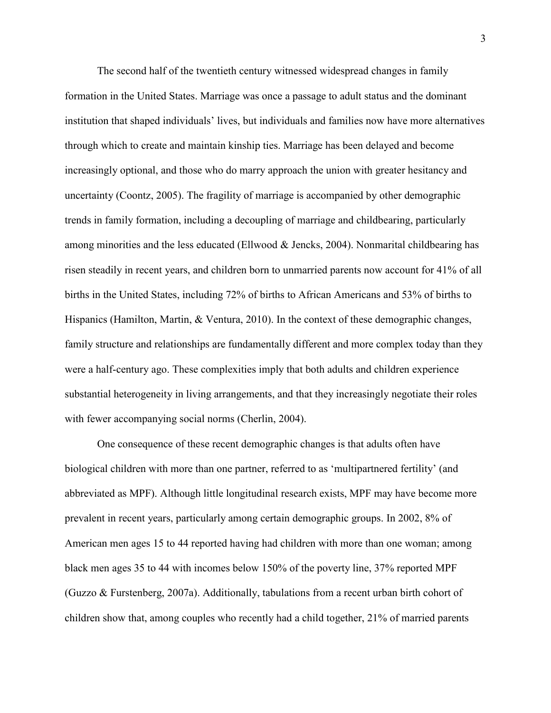The second half of the twentieth century witnessed widespread changes in family formation in the United States. Marriage was once a passage to adult status and the dominant institution that shaped individuals' lives, but individuals and families now have more alternatives through which to create and maintain kinship ties. Marriage has been delayed and become increasingly optional, and those who do marry approach the union with greater hesitancy and uncertainty (Coontz, 2005). The fragility of marriage is accompanied by other demographic trends in family formation, including a decoupling of marriage and childbearing, particularly among minorities and the less educated (Ellwood & Jencks, 2004). Nonmarital childbearing has risen steadily in recent years, and children born to unmarried parents now account for 41% of all births in the United States, including 72% of births to African Americans and 53% of births to Hispanics (Hamilton, Martin, & Ventura, 2010). In the context of these demographic changes, family structure and relationships are fundamentally different and more complex today than they were a half-century ago. These complexities imply that both adults and children experience substantial heterogeneity in living arrangements, and that they increasingly negotiate their roles with fewer accompanying social norms (Cherlin, 2004).

One consequence of these recent demographic changes is that adults often have biological children with more than one partner, referred to as 'multipartnered fertility' (and abbreviated as MPF). Although little longitudinal research exists, MPF may have become more prevalent in recent years, particularly among certain demographic groups. In 2002, 8% of American men ages 15 to 44 reported having had children with more than one woman; among black men ages 35 to 44 with incomes below 150% of the poverty line, 37% reported MPF (Guzzo & Furstenberg, 2007a). Additionally, tabulations from a recent urban birth cohort of children show that, among couples who recently had a child together, 21% of married parents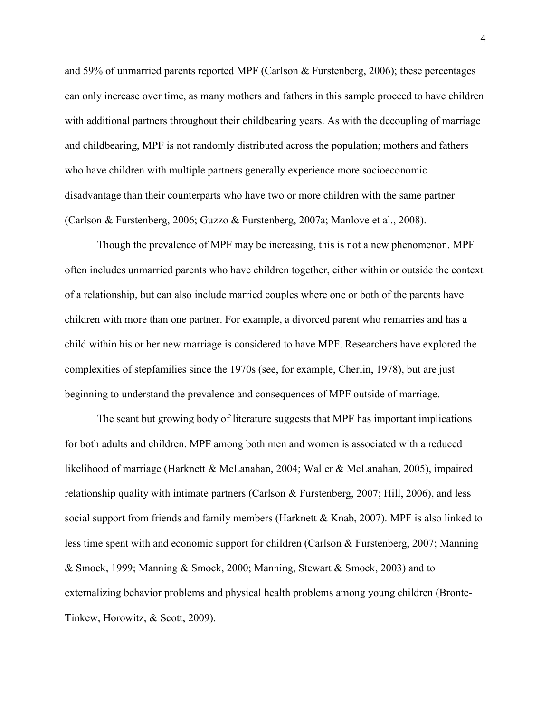and 59% of unmarried parents reported MPF (Carlson & Furstenberg, 2006); these percentages can only increase over time, as many mothers and fathers in this sample proceed to have children with additional partners throughout their childbearing years. As with the decoupling of marriage and childbearing, MPF is not randomly distributed across the population; mothers and fathers who have children with multiple partners generally experience more socioeconomic disadvantage than their counterparts who have two or more children with the same partner (Carlson & Furstenberg, 2006; Guzzo & Furstenberg, 2007a; Manlove et al., 2008).

Though the prevalence of MPF may be increasing, this is not a new phenomenon. MPF often includes unmarried parents who have children together, either within or outside the context of a relationship, but can also include married couples where one or both of the parents have children with more than one partner. For example, a divorced parent who remarries and has a child within his or her new marriage is considered to have MPF. Researchers have explored the complexities of stepfamilies since the 1970s (see, for example, Cherlin, 1978), but are just beginning to understand the prevalence and consequences of MPF outside of marriage.

The scant but growing body of literature suggests that MPF has important implications for both adults and children. MPF among both men and women is associated with a reduced likelihood of marriage (Harknett & McLanahan, 2004; Waller & McLanahan, 2005), impaired relationship quality with intimate partners (Carlson & Furstenberg, 2007; Hill, 2006), and less social support from friends and family members (Harknett  $\&$  Knab, 2007). MPF is also linked to less time spent with and economic support for children (Carlson & Furstenberg, 2007; Manning & Smock, 1999; Manning & Smock, 2000; Manning, Stewart & Smock, 2003) and to externalizing behavior problems and physical health problems among young children (Bronte-Tinkew, Horowitz, & Scott, 2009).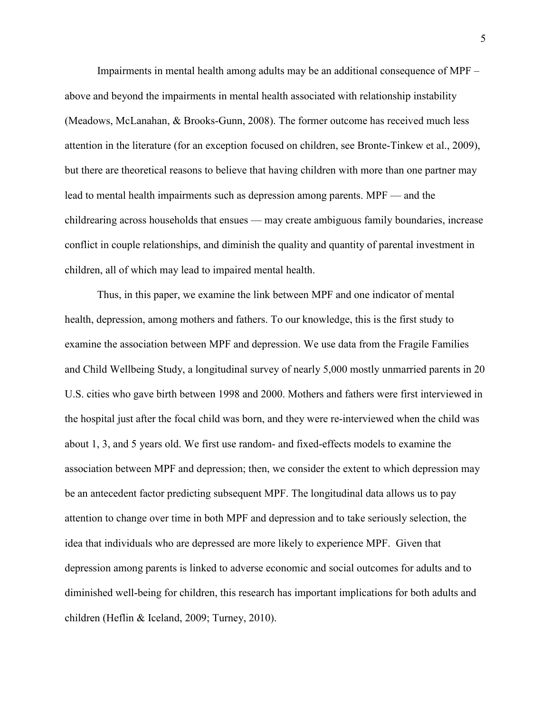Impairments in mental health among adults may be an additional consequence of MPF – above and beyond the impairments in mental health associated with relationship instability (Meadows, McLanahan, & Brooks-Gunn, 2008). The former outcome has received much less attention in the literature (for an exception focused on children, see Bronte-Tinkew et al., 2009), but there are theoretical reasons to believe that having children with more than one partner may lead to mental health impairments such as depression among parents. MPF — and the childrearing across households that ensues — may create ambiguous family boundaries, increase conflict in couple relationships, and diminish the quality and quantity of parental investment in children, all of which may lead to impaired mental health.

Thus, in this paper, we examine the link between MPF and one indicator of mental health, depression, among mothers and fathers. To our knowledge, this is the first study to examine the association between MPF and depression. We use data from the Fragile Families and Child Wellbeing Study, a longitudinal survey of nearly 5,000 mostly unmarried parents in 20 U.S. cities who gave birth between 1998 and 2000. Mothers and fathers were first interviewed in the hospital just after the focal child was born, and they were re-interviewed when the child was about 1, 3, and 5 years old. We first use random- and fixed-effects models to examine the association between MPF and depression; then, we consider the extent to which depression may be an antecedent factor predicting subsequent MPF. The longitudinal data allows us to pay attention to change over time in both MPF and depression and to take seriously selection, the idea that individuals who are depressed are more likely to experience MPF. Given that depression among parents is linked to adverse economic and social outcomes for adults and to diminished well-being for children, this research has important implications for both adults and children (Heflin & Iceland, 2009; Turney, 2010).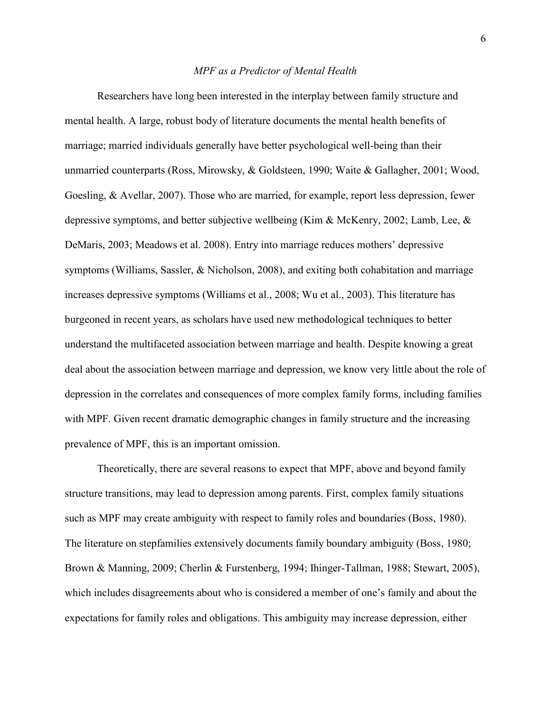### *MPF as a Predictor of Mental Health*

Researchers have long been interested in the interplay between family structure and mental health. A large, robust body of literature documents the mental health benefits of marriage; married individuals generally have better psychological well-being than their unmarried counterparts (Ross, Mirowsky, & Goldsteen, 1990; Waite & Gallagher, 2001; Wood, Goesling, & Avellar, 2007). Those who are married, for example, report less depression, fewer depressive symptoms, and better subjective wellbeing (Kim & McKenry, 2002; Lamb, Lee, & DeMaris, 2003; Meadows et al. 2008). Entry into marriage reduces mothers' depressive symptoms (Williams, Sassler, & Nicholson, 2008), and exiting both cohabitation and marriage increases depressive symptoms (Williams et al., 2008; Wu et al., 2003). This literature has burgeoned in recent years, as scholars have used new methodological techniques to better understand the multifaceted association between marriage and health. Despite knowing a great deal about the association between marriage and depression, we know very little about the role of depression in the correlates and consequences of more complex family forms, including families with MPF. Given recent dramatic demographic changes in family structure and the increasing prevalence of MPF, this is an important omission.

Theoretically, there are several reasons to expect that MPF, above and beyond family structure transitions, may lead to depression among parents. First, complex family situations such as MPF may create ambiguity with respect to family roles and boundaries (Boss, 1980). The literature on stepfamilies extensively documents family boundary ambiguity (Boss, 1980; Brown & Manning, 2009; Cherlin & Furstenberg, 1994; Ihinger-Tallman, 1988; Stewart, 2005), which includes disagreements about who is considered a member of one's family and about the expectations for family roles and obligations. This ambiguity may increase depression, either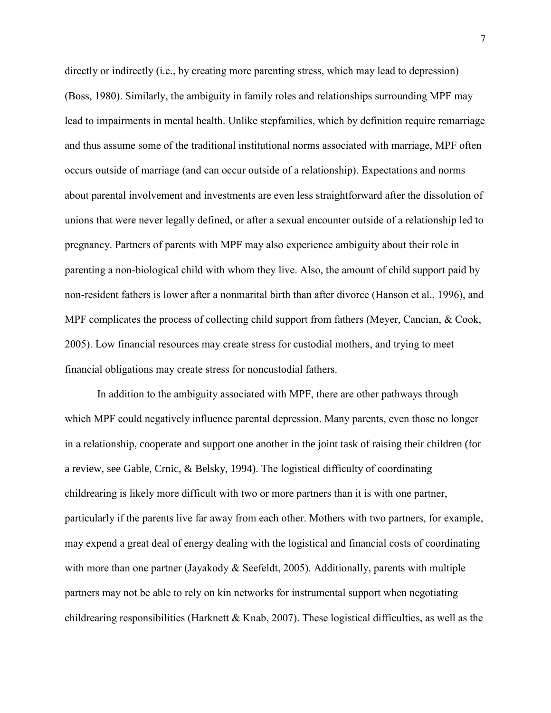directly or indirectly (i.e., by creating more parenting stress, which may lead to depression) (Boss, 1980). Similarly, the ambiguity in family roles and relationships surrounding MPF may lead to impairments in mental health. Unlike stepfamilies, which by definition require remarriage and thus assume some of the traditional institutional norms associated with marriage, MPF often occurs outside of marriage (and can occur outside of a relationship). Expectations and norms about parental involvement and investments are even less straightforward after the dissolution of unions that were never legally defined, or after a sexual encounter outside of a relationship led to pregnancy. Partners of parents with MPF may also experience ambiguity about their role in parenting a non-biological child with whom they live. Also, the amount of child support paid by non-resident fathers is lower after a nonmarital birth than after divorce (Hanson et al., 1996), and MPF complicates the process of collecting child support from fathers (Meyer, Cancian, & Cook, 2005). Low financial resources may create stress for custodial mothers, and trying to meet financial obligations may create stress for noncustodial fathers.

In addition to the ambiguity associated with MPF, there are other pathways through which MPF could negatively influence parental depression. Many parents, even those no longer in a relationship, cooperate and support one another in the joint task of raising their children (for a review, see Gable, Crnic, & Belsky, 1994). The logistical difficulty of coordinating childrearing is likely more difficult with two or more partners than it is with one partner, particularly if the parents live far away from each other. Mothers with two partners, for example, may expend a great deal of energy dealing with the logistical and financial costs of coordinating with more than one partner (Jayakody  $\&$  Seefeldt, 2005). Additionally, parents with multiple partners may not be able to rely on kin networks for instrumental support when negotiating childrearing responsibilities (Harknett & Knab, 2007). These logistical difficulties, as well as the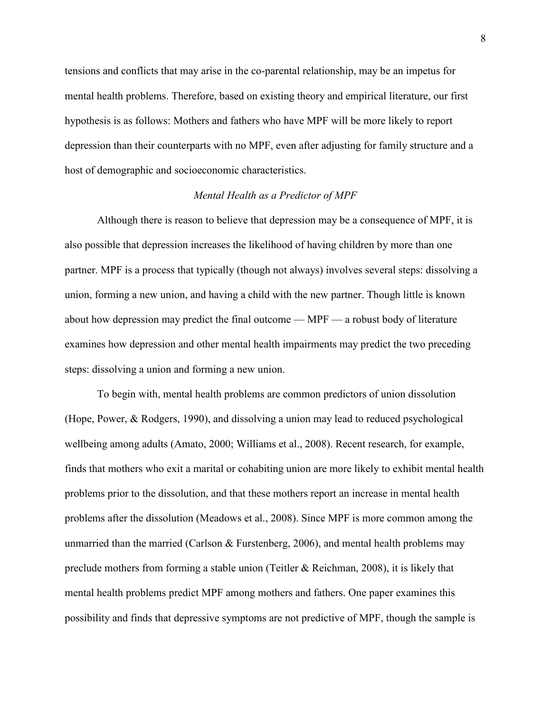tensions and conflicts that may arise in the co-parental relationship, may be an impetus for mental health problems. Therefore, based on existing theory and empirical literature, our first hypothesis is as follows: Mothers and fathers who have MPF will be more likely to report depression than their counterparts with no MPF, even after adjusting for family structure and a host of demographic and socioeconomic characteristics.

# *Mental Health as a Predictor of MPF*

Although there is reason to believe that depression may be a consequence of MPF, it is also possible that depression increases the likelihood of having children by more than one partner. MPF is a process that typically (though not always) involves several steps: dissolving a union, forming a new union, and having a child with the new partner. Though little is known about how depression may predict the final outcome — MPF — a robust body of literature examines how depression and other mental health impairments may predict the two preceding steps: dissolving a union and forming a new union.

To begin with, mental health problems are common predictors of union dissolution (Hope, Power, & Rodgers, 1990), and dissolving a union may lead to reduced psychological wellbeing among adults (Amato, 2000; Williams et al., 2008). Recent research, for example, finds that mothers who exit a marital or cohabiting union are more likely to exhibit mental health problems prior to the dissolution, and that these mothers report an increase in mental health problems after the dissolution (Meadows et al., 2008). Since MPF is more common among the unmarried than the married (Carlson  $\&$  Furstenberg, 2006), and mental health problems may preclude mothers from forming a stable union (Teitler  $\&$  Reichman, 2008), it is likely that mental health problems predict MPF among mothers and fathers. One paper examines this possibility and finds that depressive symptoms are not predictive of MPF, though the sample is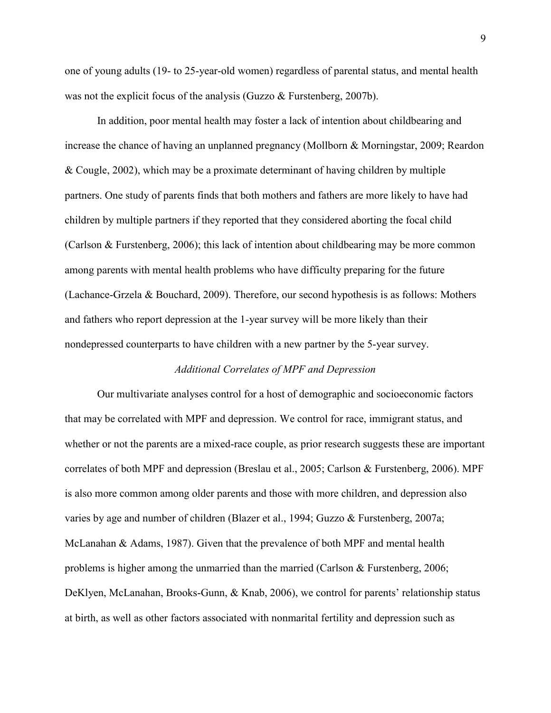one of young adults (19- to 25-year-old women) regardless of parental status, and mental health was not the explicit focus of the analysis (Guzzo & Furstenberg, 2007b).

In addition, poor mental health may foster a lack of intention about childbearing and increase the chance of having an unplanned pregnancy (Mollborn & Morningstar, 2009; Reardon & Cougle, 2002), which may be a proximate determinant of having children by multiple partners. One study of parents finds that both mothers and fathers are more likely to have had children by multiple partners if they reported that they considered aborting the focal child (Carlson & Furstenberg, 2006); this lack of intention about childbearing may be more common among parents with mental health problems who have difficulty preparing for the future (Lachance-Grzela & Bouchard, 2009). Therefore, our second hypothesis is as follows: Mothers and fathers who report depression at the 1-year survey will be more likely than their nondepressed counterparts to have children with a new partner by the 5-year survey.

# *Additional Correlates of MPF and Depression*

Our multivariate analyses control for a host of demographic and socioeconomic factors that may be correlated with MPF and depression. We control for race, immigrant status, and whether or not the parents are a mixed-race couple, as prior research suggests these are important correlates of both MPF and depression (Breslau et al., 2005; Carlson & Furstenberg, 2006). MPF is also more common among older parents and those with more children, and depression also varies by age and number of children (Blazer et al., 1994; Guzzo & Furstenberg, 2007a; McLanahan & Adams, 1987). Given that the prevalence of both MPF and mental health problems is higher among the unmarried than the married (Carlson & Furstenberg, 2006; DeKlyen, McLanahan, Brooks-Gunn, & Knab, 2006), we control for parents' relationship status at birth, as well as other factors associated with nonmarital fertility and depression such as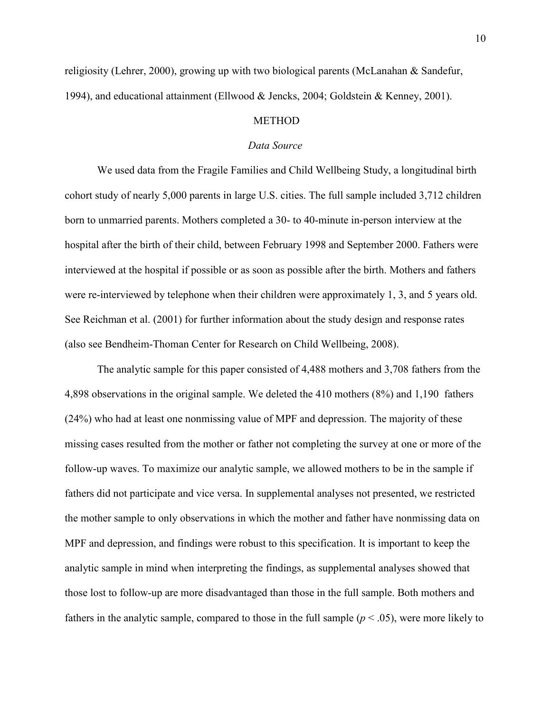religiosity (Lehrer, 2000), growing up with two biological parents (McLanahan & Sandefur, 1994), and educational attainment (Ellwood & Jencks, 2004; Goldstein & Kenney, 2001).

# **METHOD**

#### *Data Source*

We used data from the Fragile Families and Child Wellbeing Study, a longitudinal birth cohort study of nearly 5,000 parents in large U.S. cities. The full sample included 3,712 children born to unmarried parents. Mothers completed a 30- to 40-minute in-person interview at the hospital after the birth of their child, between February 1998 and September 2000. Fathers were interviewed at the hospital if possible or as soon as possible after the birth. Mothers and fathers were re-interviewed by telephone when their children were approximately 1, 3, and 5 years old. See Reichman et al. (2001) for further information about the study design and response rates (also see Bendheim-Thoman Center for Research on Child Wellbeing, 2008).

The analytic sample for this paper consisted of 4,488 mothers and 3,708 fathers from the 4,898 observations in the original sample. We deleted the 410 mothers (8%) and 1,190 fathers (24%) who had at least one nonmissing value of MPF and depression. The majority of these missing cases resulted from the mother or father not completing the survey at one or more of the follow-up waves. To maximize our analytic sample, we allowed mothers to be in the sample if fathers did not participate and vice versa. In supplemental analyses not presented, we restricted the mother sample to only observations in which the mother and father have nonmissing data on MPF and depression, and findings were robust to this specification. It is important to keep the analytic sample in mind when interpreting the findings, as supplemental analyses showed that those lost to follow-up are more disadvantaged than those in the full sample. Both mothers and fathers in the analytic sample, compared to those in the full sample  $(p < .05)$ , were more likely to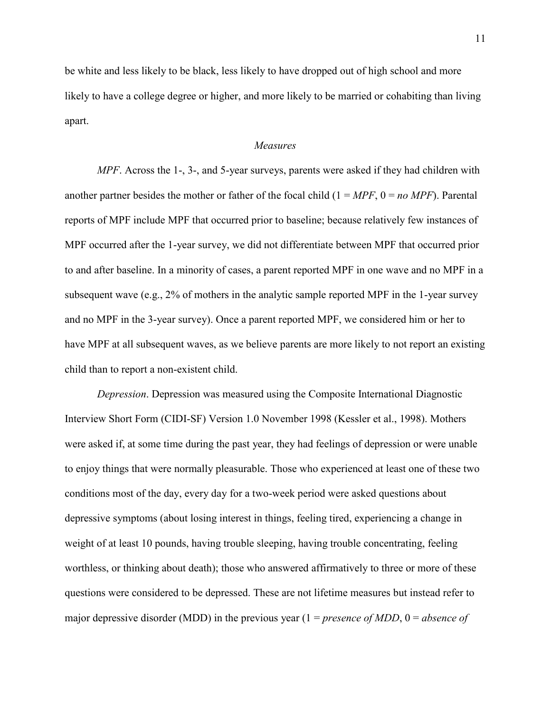be white and less likely to be black, less likely to have dropped out of high school and more likely to have a college degree or higher, and more likely to be married or cohabiting than living apart.

# *Measures*

*MPF*. Across the 1-, 3-, and 5-year surveys, parents were asked if they had children with another partner besides the mother or father of the focal child  $(1 = MPF, 0 = no MPF)$ . Parental reports of MPF include MPF that occurred prior to baseline; because relatively few instances of MPF occurred after the 1-year survey, we did not differentiate between MPF that occurred prior to and after baseline. In a minority of cases, a parent reported MPF in one wave and no MPF in a subsequent wave (e.g.,  $2\%$  of mothers in the analytic sample reported MPF in the 1-year survey and no MPF in the 3-year survey). Once a parent reported MPF, we considered him or her to have MPF at all subsequent waves, as we believe parents are more likely to not report an existing child than to report a non-existent child.

*Depression*. Depression was measured using the Composite International Diagnostic Interview Short Form (CIDI-SF) Version 1.0 November 1998 (Kessler et al., 1998). Mothers were asked if, at some time during the past year, they had feelings of depression or were unable to enjoy things that were normally pleasurable. Those who experienced at least one of these two conditions most of the day, every day for a two-week period were asked questions about depressive symptoms (about losing interest in things, feeling tired, experiencing a change in weight of at least 10 pounds, having trouble sleeping, having trouble concentrating, feeling worthless, or thinking about death); those who answered affirmatively to three or more of these questions were considered to be depressed. These are not lifetime measures but instead refer to major depressive disorder (MDD) in the previous year  $(1 = presence of MDD, 0 = absence of$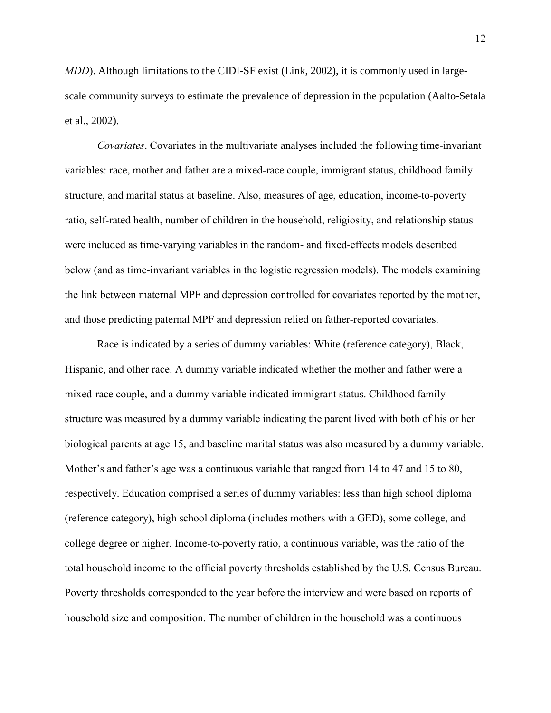*MDD*). Although limitations to the CIDI-SF exist (Link, 2002), it is commonly used in largescale community surveys to estimate the prevalence of depression in the population (Aalto-Setala et al., 2002).

*Covariates*. Covariates in the multivariate analyses included the following time-invariant variables: race, mother and father are a mixed-race couple, immigrant status, childhood family structure, and marital status at baseline. Also, measures of age, education, income-to-poverty ratio, self-rated health, number of children in the household, religiosity, and relationship status were included as time-varying variables in the random- and fixed-effects models described below (and as time-invariant variables in the logistic regression models). The models examining the link between maternal MPF and depression controlled for covariates reported by the mother, and those predicting paternal MPF and depression relied on father-reported covariates.

Race is indicated by a series of dummy variables: White (reference category), Black, Hispanic, and other race. A dummy variable indicated whether the mother and father were a mixed-race couple, and a dummy variable indicated immigrant status. Childhood family structure was measured by a dummy variable indicating the parent lived with both of his or her biological parents at age 15, and baseline marital status was also measured by a dummy variable. Mother's and father's age was a continuous variable that ranged from 14 to 47 and 15 to 80, respectively. Education comprised a series of dummy variables: less than high school diploma (reference category), high school diploma (includes mothers with a GED), some college, and college degree or higher. Income-to-poverty ratio, a continuous variable, was the ratio of the total household income to the official poverty thresholds established by the U.S. Census Bureau. Poverty thresholds corresponded to the year before the interview and were based on reports of household size and composition. The number of children in the household was a continuous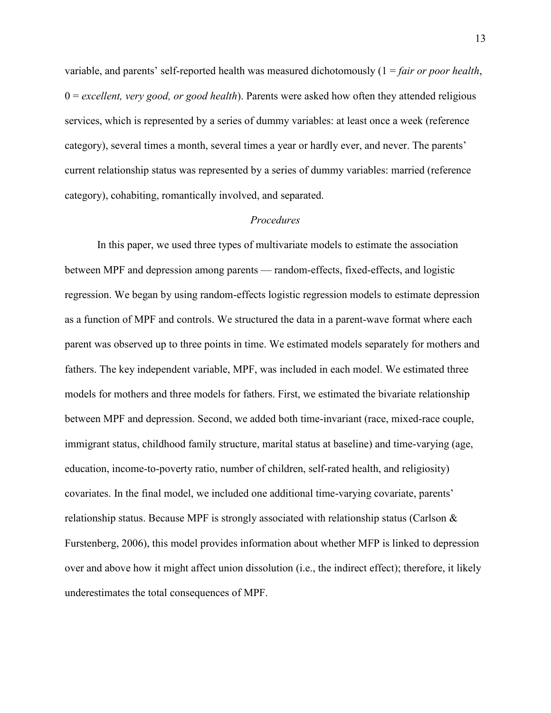variable, and parents' self-reported health was measured dichotomously (1 = *fair or poor health*, 0 = *excellent, very good, or good health*). Parents were asked how often they attended religious services, which is represented by a series of dummy variables: at least once a week (reference category), several times a month, several times a year or hardly ever, and never. The parents' current relationship status was represented by a series of dummy variables: married (reference category), cohabiting, romantically involved, and separated.

# *Procedures*

In this paper, we used three types of multivariate models to estimate the association between MPF and depression among parents — random-effects, fixed-effects, and logistic regression. We began by using random-effects logistic regression models to estimate depression as a function of MPF and controls. We structured the data in a parent-wave format where each parent was observed up to three points in time. We estimated models separately for mothers and fathers. The key independent variable, MPF, was included in each model. We estimated three models for mothers and three models for fathers. First, we estimated the bivariate relationship between MPF and depression. Second, we added both time-invariant (race, mixed-race couple, immigrant status, childhood family structure, marital status at baseline) and time-varying (age, education, income-to-poverty ratio, number of children, self-rated health, and religiosity) covariates. In the final model, we included one additional time-varying covariate, parents' relationship status. Because MPF is strongly associated with relationship status (Carlson  $\&$ Furstenberg, 2006), this model provides information about whether MFP is linked to depression over and above how it might affect union dissolution (i.e., the indirect effect); therefore, it likely underestimates the total consequences of MPF.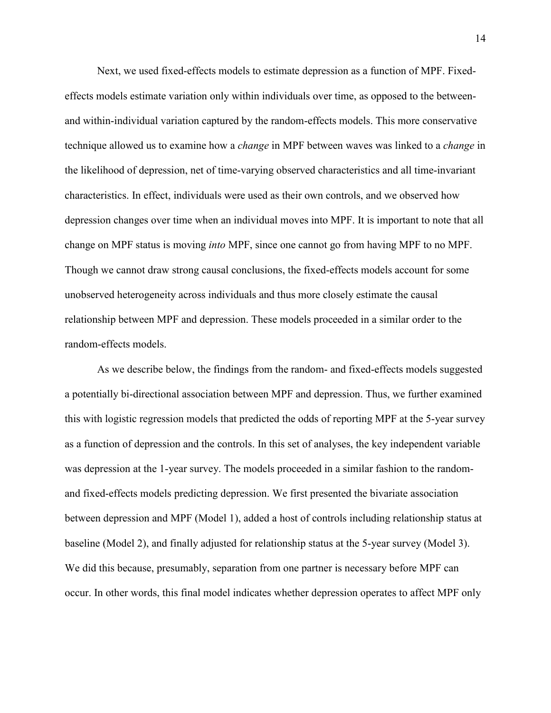Next, we used fixed-effects models to estimate depression as a function of MPF. Fixedeffects models estimate variation only within individuals over time, as opposed to the betweenand within-individual variation captured by the random-effects models. This more conservative technique allowed us to examine how a *change* in MPF between waves was linked to a *change* in the likelihood of depression, net of time-varying observed characteristics and all time-invariant characteristics. In effect, individuals were used as their own controls, and we observed how depression changes over time when an individual moves into MPF. It is important to note that all change on MPF status is moving *into* MPF, since one cannot go from having MPF to no MPF. Though we cannot draw strong causal conclusions, the fixed-effects models account for some unobserved heterogeneity across individuals and thus more closely estimate the causal relationship between MPF and depression. These models proceeded in a similar order to the random-effects models.

As we describe below, the findings from the random- and fixed-effects models suggested a potentially bi-directional association between MPF and depression. Thus, we further examined this with logistic regression models that predicted the odds of reporting MPF at the 5-year survey as a function of depression and the controls. In this set of analyses, the key independent variable was depression at the 1-year survey. The models proceeded in a similar fashion to the randomand fixed-effects models predicting depression. We first presented the bivariate association between depression and MPF (Model 1), added a host of controls including relationship status at baseline (Model 2), and finally adjusted for relationship status at the 5-year survey (Model 3). We did this because, presumably, separation from one partner is necessary before MPF can occur. In other words, this final model indicates whether depression operates to affect MPF only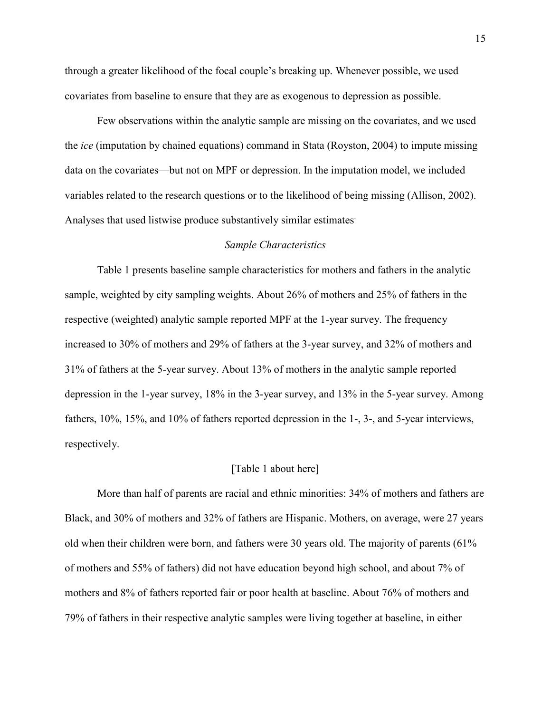through a greater likelihood of the focal couple's breaking up. Whenever possible, we used covariates from baseline to ensure that they are as exogenous to depression as possible.

Few observations within the analytic sample are missing on the covariates, and we used the *ice* (imputation by chained equations) command in Stata (Royston, 2004) to impute missing data on the covariates—but not on MPF or depression. In the imputation model, we included variables related to the research questions or to the likelihood of being missing (Allison, 2002). Analyses that used listwise produce substantively similar estimates.

### *Sample Characteristics*

Table 1 presents baseline sample characteristics for mothers and fathers in the analytic sample, weighted by city sampling weights. About 26% of mothers and 25% of fathers in the respective (weighted) analytic sample reported MPF at the 1-year survey. The frequency increased to 30% of mothers and 29% of fathers at the 3-year survey, and 32% of mothers and 31% of fathers at the 5-year survey. About 13% of mothers in the analytic sample reported depression in the 1-year survey, 18% in the 3-year survey, and 13% in the 5-year survey. Among fathers, 10%, 15%, and 10% of fathers reported depression in the 1-, 3-, and 5-year interviews, respectively.

### [Table 1 about here]

More than half of parents are racial and ethnic minorities: 34% of mothers and fathers are Black, and 30% of mothers and 32% of fathers are Hispanic. Mothers, on average, were 27 years old when their children were born, and fathers were 30 years old. The majority of parents (61% of mothers and 55% of fathers) did not have education beyond high school, and about 7% of mothers and 8% of fathers reported fair or poor health at baseline. About 76% of mothers and 79% of fathers in their respective analytic samples were living together at baseline, in either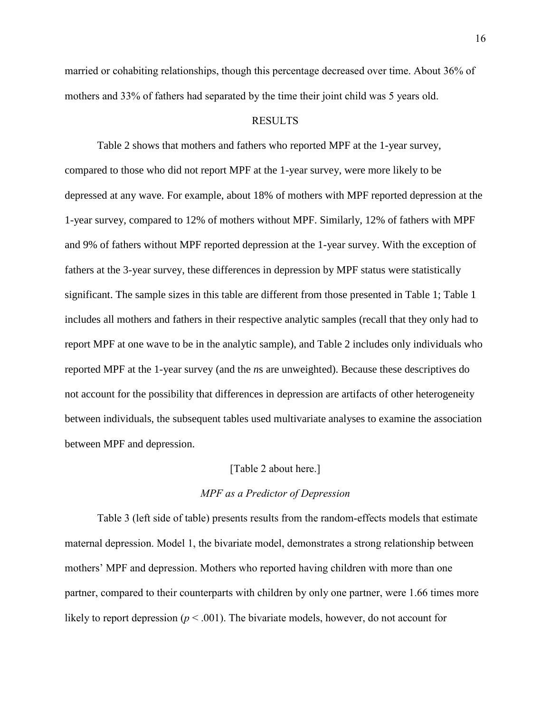married or cohabiting relationships, though this percentage decreased over time. About 36% of mothers and 33% of fathers had separated by the time their joint child was 5 years old.

# RESULTS

Table 2 shows that mothers and fathers who reported MPF at the 1-year survey, compared to those who did not report MPF at the 1-year survey, were more likely to be depressed at any wave. For example, about 18% of mothers with MPF reported depression at the 1-year survey, compared to 12% of mothers without MPF. Similarly, 12% of fathers with MPF and 9% of fathers without MPF reported depression at the 1-year survey. With the exception of fathers at the 3-year survey, these differences in depression by MPF status were statistically significant. The sample sizes in this table are different from those presented in Table 1; Table 1 includes all mothers and fathers in their respective analytic samples (recall that they only had to report MPF at one wave to be in the analytic sample), and Table 2 includes only individuals who reported MPF at the 1-year survey (and the *n*s are unweighted). Because these descriptives do not account for the possibility that differences in depression are artifacts of other heterogeneity between individuals, the subsequent tables used multivariate analyses to examine the association between MPF and depression.

#### [Table 2 about here.]

# *MPF as a Predictor of Depression*

Table 3 (left side of table) presents results from the random-effects models that estimate maternal depression. Model 1, the bivariate model, demonstrates a strong relationship between mothers' MPF and depression. Mothers who reported having children with more than one partner, compared to their counterparts with children by only one partner, were 1.66 times more likely to report depression  $(p < .001)$ . The bivariate models, however, do not account for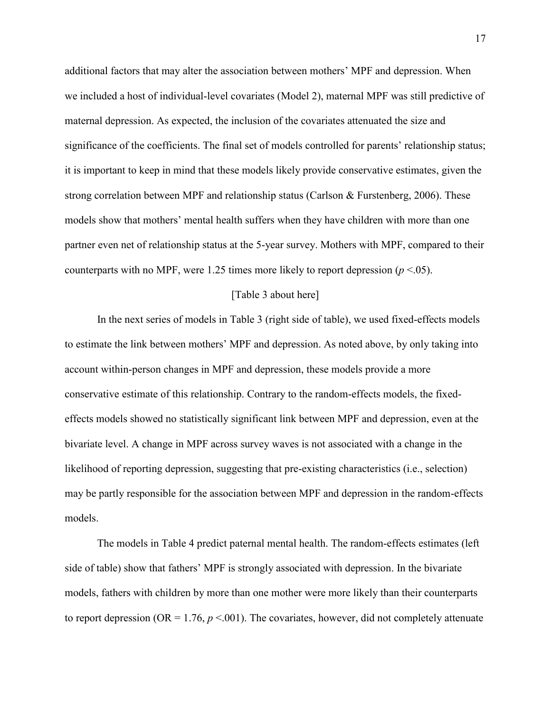additional factors that may alter the association between mothers' MPF and depression. When we included a host of individual-level covariates (Model 2), maternal MPF was still predictive of maternal depression. As expected, the inclusion of the covariates attenuated the size and significance of the coefficients. The final set of models controlled for parents' relationship status; it is important to keep in mind that these models likely provide conservative estimates, given the strong correlation between MPF and relationship status (Carlson & Furstenberg, 2006). These models show that mothers' mental health suffers when they have children with more than one partner even net of relationship status at the 5-year survey. Mothers with MPF, compared to their counterparts with no MPF, were 1.25 times more likely to report depression  $(p < .05)$ .

### [Table 3 about here]

In the next series of models in Table 3 (right side of table), we used fixed-effects models to estimate the link between mothers' MPF and depression. As noted above, by only taking into account within-person changes in MPF and depression, these models provide a more conservative estimate of this relationship. Contrary to the random-effects models, the fixedeffects models showed no statistically significant link between MPF and depression, even at the bivariate level. A change in MPF across survey waves is not associated with a change in the likelihood of reporting depression, suggesting that pre-existing characteristics (i.e., selection) may be partly responsible for the association between MPF and depression in the random-effects models.

The models in Table 4 predict paternal mental health. The random-effects estimates (left side of table) show that fathers' MPF is strongly associated with depression. In the bivariate models, fathers with children by more than one mother were more likely than their counterparts to report depression ( $OR = 1.76$ ,  $p < 0.01$ ). The covariates, however, did not completely attenuate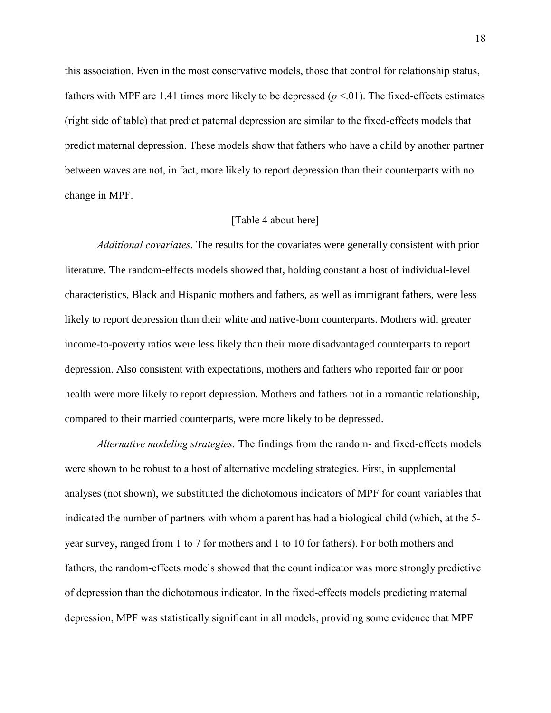this association. Even in the most conservative models, those that control for relationship status, fathers with MPF are 1.41 times more likely to be depressed  $(p < 01)$ . The fixed-effects estimates (right side of table) that predict paternal depression are similar to the fixed-effects models that predict maternal depression. These models show that fathers who have a child by another partner between waves are not, in fact, more likely to report depression than their counterparts with no change in MPF.

# [Table 4 about here]

*Additional covariates*. The results for the covariates were generally consistent with prior literature. The random-effects models showed that, holding constant a host of individual-level characteristics, Black and Hispanic mothers and fathers, as well as immigrant fathers, were less likely to report depression than their white and native-born counterparts. Mothers with greater income-to-poverty ratios were less likely than their more disadvantaged counterparts to report depression. Also consistent with expectations, mothers and fathers who reported fair or poor health were more likely to report depression. Mothers and fathers not in a romantic relationship, compared to their married counterparts, were more likely to be depressed.

*Alternative modeling strategies.* The findings from the random- and fixed-effects models were shown to be robust to a host of alternative modeling strategies. First, in supplemental analyses (not shown), we substituted the dichotomous indicators of MPF for count variables that indicated the number of partners with whom a parent has had a biological child (which, at the 5 year survey, ranged from 1 to 7 for mothers and 1 to 10 for fathers). For both mothers and fathers, the random-effects models showed that the count indicator was more strongly predictive of depression than the dichotomous indicator. In the fixed-effects models predicting maternal depression, MPF was statistically significant in all models, providing some evidence that MPF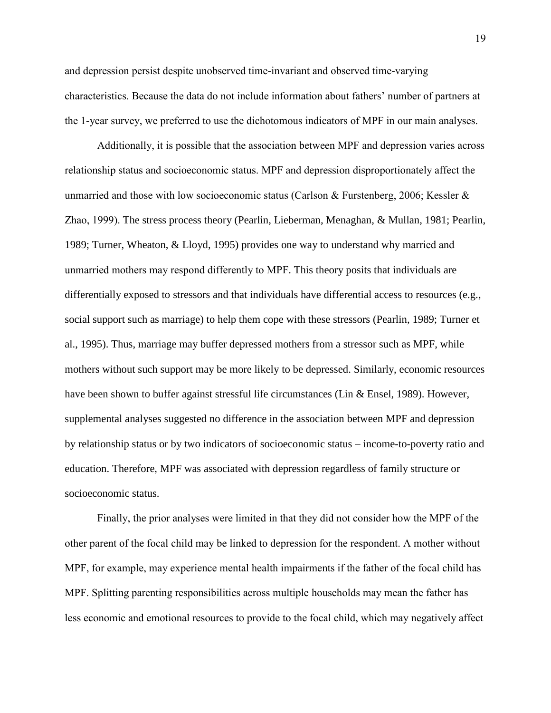and depression persist despite unobserved time-invariant and observed time-varying characteristics. Because the data do not include information about fathers' number of partners at the 1-year survey, we preferred to use the dichotomous indicators of MPF in our main analyses.

Additionally, it is possible that the association between MPF and depression varies across relationship status and socioeconomic status. MPF and depression disproportionately affect the unmarried and those with low socioeconomic status (Carlson & Furstenberg, 2006; Kessler & Zhao, 1999). The stress process theory (Pearlin, Lieberman, Menaghan, & Mullan, 1981; Pearlin, 1989; Turner, Wheaton, & Lloyd, 1995) provides one way to understand why married and unmarried mothers may respond differently to MPF. This theory posits that individuals are differentially exposed to stressors and that individuals have differential access to resources (e.g., social support such as marriage) to help them cope with these stressors (Pearlin, 1989; Turner et al., 1995). Thus, marriage may buffer depressed mothers from a stressor such as MPF, while mothers without such support may be more likely to be depressed. Similarly, economic resources have been shown to buffer against stressful life circumstances (Lin & Ensel, 1989). However, supplemental analyses suggested no difference in the association between MPF and depression by relationship status or by two indicators of socioeconomic status – income-to-poverty ratio and education. Therefore, MPF was associated with depression regardless of family structure or socioeconomic status.

Finally, the prior analyses were limited in that they did not consider how the MPF of the other parent of the focal child may be linked to depression for the respondent. A mother without MPF, for example, may experience mental health impairments if the father of the focal child has MPF. Splitting parenting responsibilities across multiple households may mean the father has less economic and emotional resources to provide to the focal child, which may negatively affect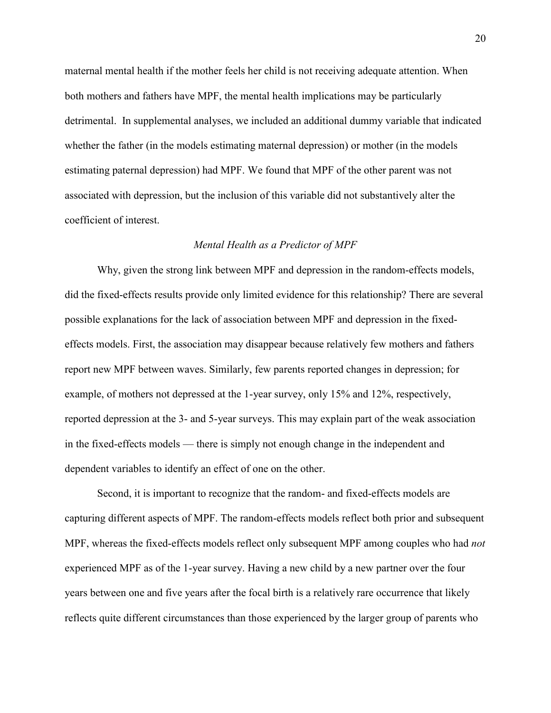maternal mental health if the mother feels her child is not receiving adequate attention. When both mothers and fathers have MPF, the mental health implications may be particularly detrimental. In supplemental analyses, we included an additional dummy variable that indicated whether the father (in the models estimating maternal depression) or mother (in the models estimating paternal depression) had MPF. We found that MPF of the other parent was not associated with depression, but the inclusion of this variable did not substantively alter the coefficient of interest.

### *Mental Health as a Predictor of MPF*

Why, given the strong link between MPF and depression in the random-effects models, did the fixed-effects results provide only limited evidence for this relationship? There are several possible explanations for the lack of association between MPF and depression in the fixedeffects models. First, the association may disappear because relatively few mothers and fathers report new MPF between waves. Similarly, few parents reported changes in depression; for example, of mothers not depressed at the 1-year survey, only 15% and 12%, respectively, reported depression at the 3- and 5-year surveys. This may explain part of the weak association in the fixed-effects models — there is simply not enough change in the independent and dependent variables to identify an effect of one on the other.

Second, it is important to recognize that the random- and fixed-effects models are capturing different aspects of MPF. The random-effects models reflect both prior and subsequent MPF, whereas the fixed-effects models reflect only subsequent MPF among couples who had *not* experienced MPF as of the 1-year survey. Having a new child by a new partner over the four years between one and five years after the focal birth is a relatively rare occurrence that likely reflects quite different circumstances than those experienced by the larger group of parents who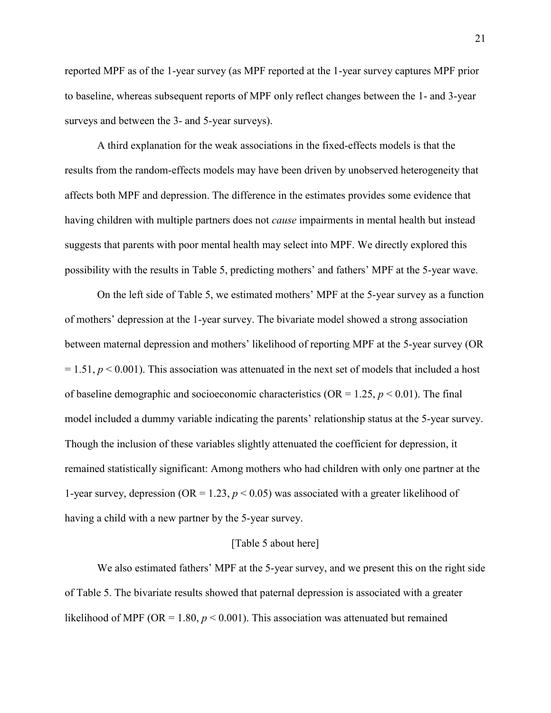reported MPF as of the 1-year survey (as MPF reported at the 1-year survey captures MPF prior to baseline, whereas subsequent reports of MPF only reflect changes between the 1- and 3-year surveys and between the 3- and 5-year surveys).

A third explanation for the weak associations in the fixed-effects models is that the results from the random-effects models may have been driven by unobserved heterogeneity that affects both MPF and depression. The difference in the estimates provides some evidence that having children with multiple partners does not *cause* impairments in mental health but instead suggests that parents with poor mental health may select into MPF. We directly explored this possibility with the results in Table 5, predicting mothers' and fathers' MPF at the 5-year wave.

On the left side of Table 5, we estimated mothers' MPF at the 5-year survey as a function of mothers' depression at the 1-year survey. The bivariate model showed a strong association between maternal depression and mothers' likelihood of reporting MPF at the 5-year survey (OR  $= 1.51, p \le 0.001$ ). This association was attenuated in the next set of models that included a host of baseline demographic and socioeconomic characteristics ( $OR = 1.25$ ,  $p < 0.01$ ). The final model included a dummy variable indicating the parents' relationship status at the 5-year survey. Though the inclusion of these variables slightly attenuated the coefficient for depression, it remained statistically significant: Among mothers who had children with only one partner at the 1-year survey, depression (OR = 1.23,  $p < 0.05$ ) was associated with a greater likelihood of having a child with a new partner by the 5-year survey.

### [Table 5 about here]

We also estimated fathers' MPF at the 5-year survey, and we present this on the right side of Table 5. The bivariate results showed that paternal depression is associated with a greater likelihood of MPF (OR = 1.80,  $p < 0.001$ ). This association was attenuated but remained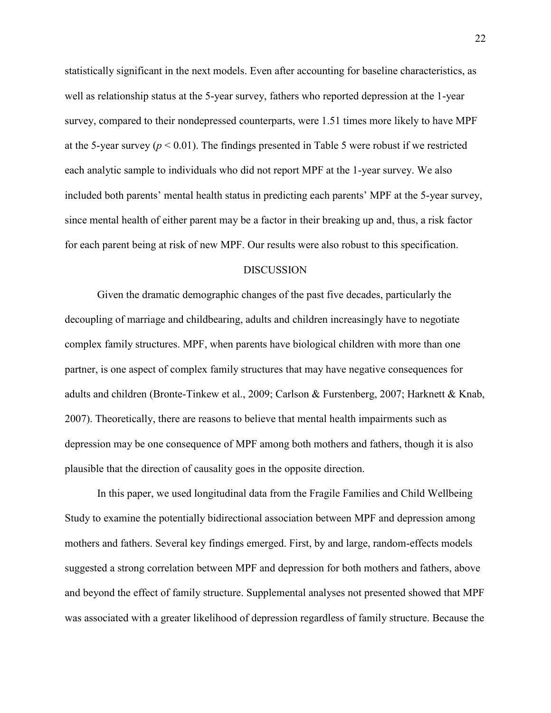statistically significant in the next models. Even after accounting for baseline characteristics, as well as relationship status at the 5-year survey, fathers who reported depression at the 1-year survey, compared to their nondepressed counterparts, were 1.51 times more likely to have MPF at the 5-year survey  $(p < 0.01)$ . The findings presented in Table 5 were robust if we restricted each analytic sample to individuals who did not report MPF at the 1-year survey. We also included both parents' mental health status in predicting each parents' MPF at the 5-year survey, since mental health of either parent may be a factor in their breaking up and, thus, a risk factor for each parent being at risk of new MPF. Our results were also robust to this specification.

### DISCUSSION

Given the dramatic demographic changes of the past five decades, particularly the decoupling of marriage and childbearing, adults and children increasingly have to negotiate complex family structures. MPF, when parents have biological children with more than one partner, is one aspect of complex family structures that may have negative consequences for adults and children (Bronte-Tinkew et al., 2009; Carlson & Furstenberg, 2007; Harknett & Knab, 2007). Theoretically, there are reasons to believe that mental health impairments such as depression may be one consequence of MPF among both mothers and fathers, though it is also plausible that the direction of causality goes in the opposite direction.

In this paper, we used longitudinal data from the Fragile Families and Child Wellbeing Study to examine the potentially bidirectional association between MPF and depression among mothers and fathers. Several key findings emerged. First, by and large, random-effects models suggested a strong correlation between MPF and depression for both mothers and fathers, above and beyond the effect of family structure. Supplemental analyses not presented showed that MPF was associated with a greater likelihood of depression regardless of family structure. Because the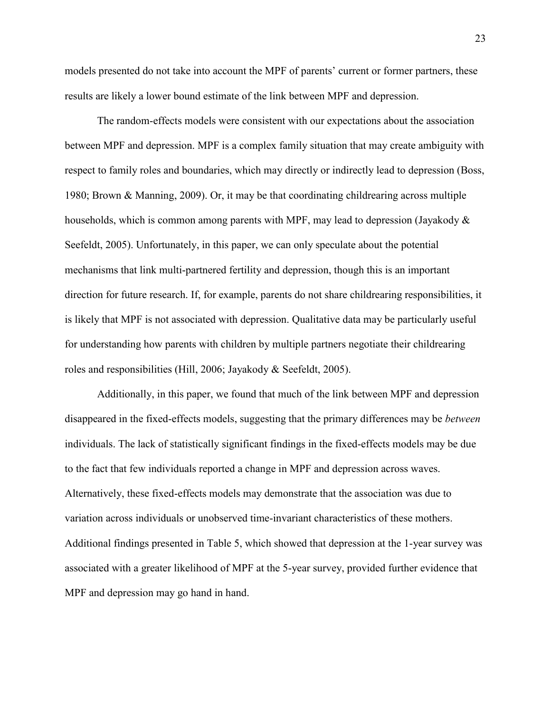models presented do not take into account the MPF of parents' current or former partners, these results are likely a lower bound estimate of the link between MPF and depression.

The random-effects models were consistent with our expectations about the association between MPF and depression. MPF is a complex family situation that may create ambiguity with respect to family roles and boundaries, which may directly or indirectly lead to depression (Boss, 1980; Brown & Manning, 2009). Or, it may be that coordinating childrearing across multiple households, which is common among parents with MPF, may lead to depression (Jayakody  $\&$ Seefeldt, 2005). Unfortunately, in this paper, we can only speculate about the potential mechanisms that link multi-partnered fertility and depression, though this is an important direction for future research. If, for example, parents do not share childrearing responsibilities, it is likely that MPF is not associated with depression. Qualitative data may be particularly useful for understanding how parents with children by multiple partners negotiate their childrearing roles and responsibilities (Hill, 2006; Jayakody & Seefeldt, 2005).

Additionally, in this paper, we found that much of the link between MPF and depression disappeared in the fixed-effects models, suggesting that the primary differences may be *between* individuals. The lack of statistically significant findings in the fixed-effects models may be due to the fact that few individuals reported a change in MPF and depression across waves. Alternatively, these fixed-effects models may demonstrate that the association was due to variation across individuals or unobserved time-invariant characteristics of these mothers. Additional findings presented in Table 5, which showed that depression at the 1-year survey was associated with a greater likelihood of MPF at the 5-year survey, provided further evidence that MPF and depression may go hand in hand.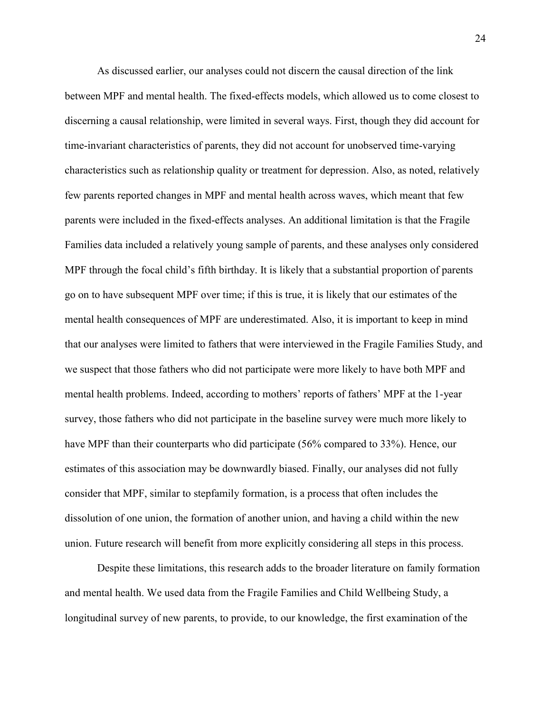As discussed earlier, our analyses could not discern the causal direction of the link between MPF and mental health. The fixed-effects models, which allowed us to come closest to discerning a causal relationship, were limited in several ways. First, though they did account for time-invariant characteristics of parents, they did not account for unobserved time-varying characteristics such as relationship quality or treatment for depression. Also, as noted, relatively few parents reported changes in MPF and mental health across waves, which meant that few parents were included in the fixed-effects analyses. An additional limitation is that the Fragile Families data included a relatively young sample of parents, and these analyses only considered MPF through the focal child's fifth birthday. It is likely that a substantial proportion of parents go on to have subsequent MPF over time; if this is true, it is likely that our estimates of the mental health consequences of MPF are underestimated. Also, it is important to keep in mind that our analyses were limited to fathers that were interviewed in the Fragile Families Study, and we suspect that those fathers who did not participate were more likely to have both MPF and mental health problems. Indeed, according to mothers' reports of fathers' MPF at the 1-year survey, those fathers who did not participate in the baseline survey were much more likely to have MPF than their counterparts who did participate (56% compared to 33%). Hence, our estimates of this association may be downwardly biased. Finally, our analyses did not fully consider that MPF, similar to stepfamily formation, is a process that often includes the dissolution of one union, the formation of another union, and having a child within the new union. Future research will benefit from more explicitly considering all steps in this process.

Despite these limitations, this research adds to the broader literature on family formation and mental health. We used data from the Fragile Families and Child Wellbeing Study, a longitudinal survey of new parents, to provide, to our knowledge, the first examination of the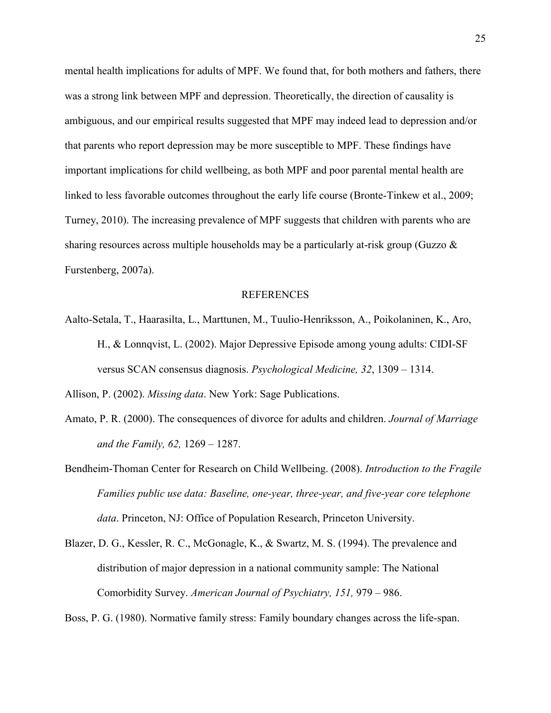mental health implications for adults of MPF. We found that, for both mothers and fathers, there was a strong link between MPF and depression. Theoretically, the direction of causality is ambiguous, and our empirical results suggested that MPF may indeed lead to depression and/or that parents who report depression may be more susceptible to MPF. These findings have important implications for child wellbeing, as both MPF and poor parental mental health are linked to less favorable outcomes throughout the early life course (Bronte-Tinkew et al., 2009; Turney, 2010). The increasing prevalence of MPF suggests that children with parents who are sharing resources across multiple households may be a particularly at-risk group (Guzzo & Furstenberg, 2007a).

#### REFERENCES

Aalto-Setala, T., Haarasilta, L., Marttunen, M., Tuulio-Henriksson, A., Poikolaninen, K., Aro, H., & Lonnqvist, L. (2002). Major Depressive Episode among young adults: CIDI-SF versus SCAN consensus diagnosis. *Psychological Medicine, 32*, 1309 – 1314.

Allison, P. (2002). *Missing data*. New York: Sage Publications.

- Amato, P. R. (2000). The consequences of divorce for adults and children. *Journal of Marriage and the Family, 62,* 1269 – 1287.
- Bendheim-Thoman Center for Research on Child Wellbeing. (2008). *Introduction to the Fragile Families public use data: Baseline, one-year, three-year, and five-year core telephone data*. Princeton, NJ: Office of Population Research, Princeton University.
- Blazer, D. G., Kessler, R. C., McGonagle, K., & Swartz, M. S. (1994). The prevalence and distribution of major depression in a national community sample: The National Comorbidity Survey. *American Journal of Psychiatry, 151,* 979 – 986.

Boss, P. G. (1980). Normative family stress: Family boundary changes across the life-span.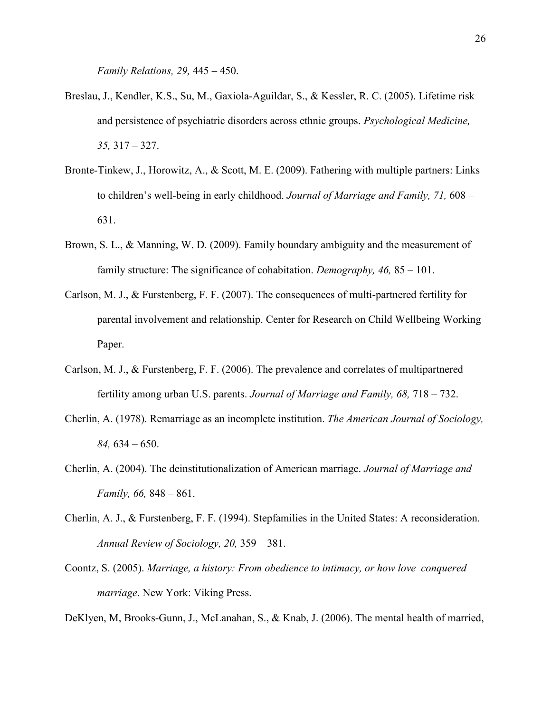*Family Relations, 29,* 445 – 450.

- Breslau, J., Kendler, K.S., Su, M., Gaxiola-Aguildar, S., & Kessler, R. C. (2005). Lifetime risk and persistence of psychiatric disorders across ethnic groups. *Psychological Medicine, 35,* 317 – 327.
- Bronte-Tinkew, J., Horowitz, A., & Scott, M. E. (2009). Fathering with multiple partners: Links to children's well-being in early childhood. *Journal of Marriage and Family, 71,* 608 – 631.
- Brown, S. L., & Manning, W. D. (2009). Family boundary ambiguity and the measurement of family structure: The significance of cohabitation. *Demography, 46,* 85 – 101.
- Carlson, M. J., & Furstenberg, F. F. (2007). The consequences of multi-partnered fertility for parental involvement and relationship. Center for Research on Child Wellbeing Working Paper.
- Carlson, M. J., & Furstenberg, F. F. (2006). The prevalence and correlates of multipartnered fertility among urban U.S. parents. *Journal of Marriage and Family, 68,* 718 – 732.
- Cherlin, A. (1978). Remarriage as an incomplete institution. *The American Journal of Sociology, 84,* 634 – 650.
- Cherlin, A. (2004). The deinstitutionalization of American marriage. *Journal of Marriage and Family, 66,* 848 – 861.
- Cherlin, A. J., & Furstenberg, F. F. (1994). Stepfamilies in the United States: A reconsideration. *Annual Review of Sociology, 20,* 359 – 381.
- Coontz, S. (2005). *Marriage, a history: From obedience to intimacy, or how love conquered marriage*. New York: Viking Press.

DeKlyen, M, Brooks-Gunn, J., McLanahan, S., & Knab, J. (2006). The mental health of married,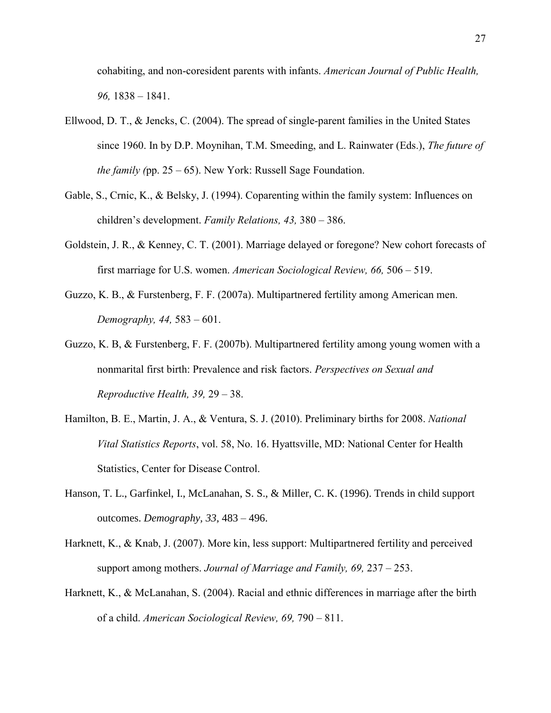cohabiting, and non-coresident parents with infants. *American Journal of Public Health, 96,* 1838 – 1841.

- Ellwood, D. T., & Jencks, C. (2004). The spread of single-parent families in the United States since 1960. In by D.P. Moynihan, T.M. Smeeding, and L. Rainwater (Eds.), *The future of the family (*pp. 25 – 65). New York: Russell Sage Foundation.
- Gable, S., Crnic, K., & Belsky, J. (1994). Coparenting within the family system: Influences on children's development. *Family Relations, 43,* 380 – 386.
- Goldstein, J. R., & Kenney, C. T. (2001). Marriage delayed or foregone? New cohort forecasts of first marriage for U.S. women. *American Sociological Review, 66,* 506 – 519.
- Guzzo, K. B., & Furstenberg, F. F. (2007a). Multipartnered fertility among American men. *Demography, 44,* 583 – 601.
- Guzzo, K. B, & Furstenberg, F. F. (2007b). Multipartnered fertility among young women with a nonmarital first birth: Prevalence and risk factors. *Perspectives on Sexual and Reproductive Health, 39,* 29 – 38.
- Hamilton, B. E., Martin, J. A., & Ventura, S. J. (2010). Preliminary births for 2008. *National Vital Statistics Reports*, vol. 58, No. 16. Hyattsville, MD: National Center for Health Statistics, Center for Disease Control.
- Hanson, T. L., Garfinkel, I., McLanahan, S. S., & Miller, C. K. (1996). Trends in child support outcomes. *Demography, 33,* 483 – 496.
- Harknett, K., & Knab, J. (2007). More kin, less support: Multipartnered fertility and perceived support among mothers. *Journal of Marriage and Family, 69,* 237 – 253.
- Harknett, K., & McLanahan, S. (2004). Racial and ethnic differences in marriage after the birth of a child. *American Sociological Review, 69,* 790 – 811.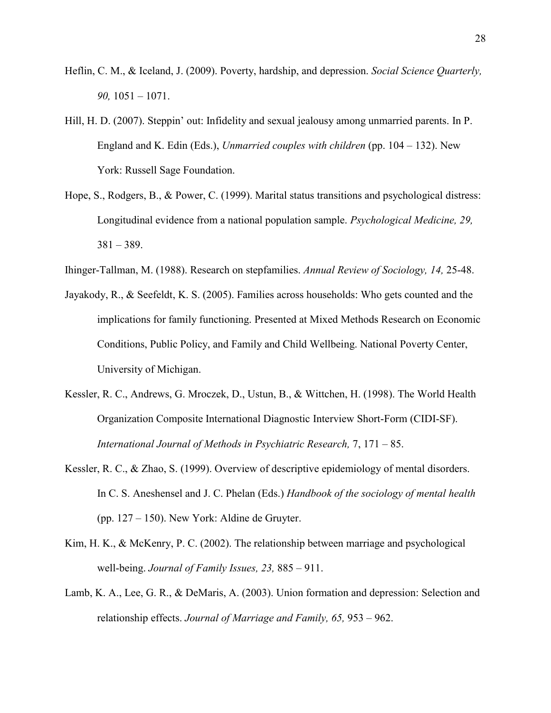- Heflin, C. M., & Iceland, J. (2009). Poverty, hardship, and depression. *Social Science Quarterly, 90,* 1051 – 1071.
- Hill, H. D. (2007). Steppin' out: Infidelity and sexual jealousy among unmarried parents. In P. England and K. Edin (Eds.), *Unmarried couples with children* (pp. 104 – 132). New York: Russell Sage Foundation.
- Hope, S., Rodgers, B., & Power, C. (1999). Marital status transitions and psychological distress: Longitudinal evidence from a national population sample. *Psychological Medicine, 29,*  381 – 389.
- Ihinger-Tallman, M. (1988). Research on stepfamilies. *Annual Review of Sociology, 14,* 25-48.
- Jayakody, R., & Seefeldt, K. S. (2005). Families across households: Who gets counted and the implications for family functioning. Presented at Mixed Methods Research on Economic Conditions, Public Policy, and Family and Child Wellbeing. National Poverty Center, University of Michigan.
- Kessler, R. C., Andrews, G. Mroczek, D., Ustun, B., & Wittchen, H. (1998). The World Health Organization Composite International Diagnostic Interview Short-Form (CIDI-SF). *International Journal of Methods in Psychiatric Research,* 7, 171 – 85.
- Kessler, R. C., & Zhao, S. (1999). Overview of descriptive epidemiology of mental disorders. In C. S. Aneshensel and J. C. Phelan (Eds.) *Handbook of the sociology of mental health* (pp. 127 – 150). New York: Aldine de Gruyter.
- Kim, H. K., & McKenry, P. C. (2002). The relationship between marriage and psychological well-being. *Journal of Family Issues, 23,* 885 – 911.
- Lamb, K. A., Lee, G. R., & DeMaris, A. (2003). Union formation and depression: Selection and relationship effects. *Journal of Marriage and Family, 65,* 953 – 962.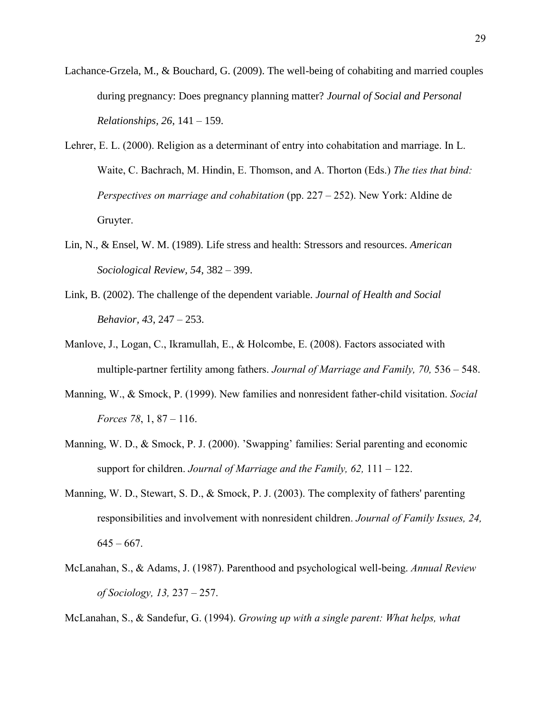- Lachance-Grzela, M., & Bouchard, G. (2009). The well-being of cohabiting and married couples during pregnancy: Does pregnancy planning matter? *Journal of Social and Personal Relationships, 26*, 141 – 159.
- Lehrer, E. L. (2000). Religion as a determinant of entry into cohabitation and marriage. In L. Waite, C. Bachrach, M. Hindin, E. Thomson, and A. Thorton (Eds.) *The ties that bind: Perspectives on marriage and cohabitation* (pp. 227 – 252). New York: Aldine de Gruyter.
- Lin, N., & Ensel, W. M. (1989). Life stress and health: Stressors and resources. *American Sociological Review, 54*, 382 – 399.
- Link, B. (2002). The challenge of the dependent variable. *Journal of Health and Social Behavior, 43*, 247 – 253.
- Manlove, J., Logan, C., Ikramullah, E., & Holcombe, E. (2008). Factors associated with multiple-partner fertility among fathers. *Journal of Marriage and Family, 70,* 536 – 548.
- Manning, W., & Smock, P. (1999). New families and nonresident father-child visitation. *Social Forces 78*, 1, 87 – 116.
- Manning, W. D., & Smock, P. J. (2000). 'Swapping' families: Serial parenting and economic support for children. *Journal of Marriage and the Family, 62,* 111 – 122.
- Manning, W. D., Stewart, S. D., & Smock, P. J. (2003). The complexity of fathers' parenting responsibilities and involvement with nonresident children. *Journal of Family Issues, 24,*   $645 - 667$ .
- McLanahan, S., & Adams, J. (1987). Parenthood and psychological well-being. *Annual Review of Sociology, 13,* 237 – 257.

McLanahan, S., & Sandefur, G. (1994). *Growing up with a single parent: What helps, what*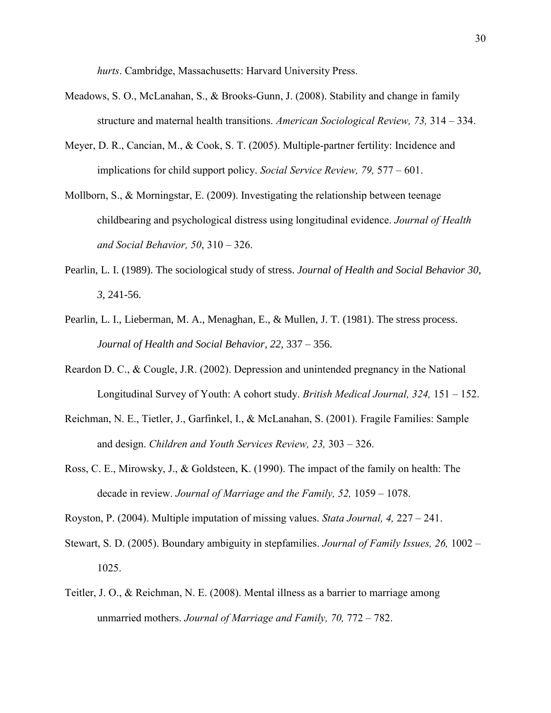*hurts*. Cambridge, Massachusetts: Harvard University Press.

- Meadows, S. O., McLanahan, S., & Brooks-Gunn, J. (2008). Stability and change in family structure and maternal health transitions. *American Sociological Review, 73,* 314 – 334.
- Meyer, D. R., Cancian, M., & Cook, S. T. (2005). Multiple-partner fertility: Incidence and implications for child support policy. *Social Service Review, 79,* 577 – 601.
- Mollborn, S., & Morningstar, E. (2009). Investigating the relationship between teenage childbearing and psychological distress using longitudinal evidence. *Journal of Health and Social Behavior, 50*, 310 – 326.
- Pearlin, L. I. (1989). The sociological study of stress. *Journal of Health and Social Behavior 30, 3,* 241-56.
- Pearlin, L. I., Lieberman, M. A., Menaghan, E., & Mullen, J. T. (1981). The stress process. *Journal of Health and Social Behavior, 22,* 337 – 356.
- Reardon D. C., & Cougle, J.R. (2002). Depression and unintended pregnancy in the National Longitudinal Survey of Youth: A cohort study. *British Medical Journal, 324,* 151 – 152.
- Reichman, N. E., Tietler, J., Garfinkel, I., & McLanahan, S. (2001). Fragile Families: Sample and design. *Children and Youth Services Review, 23,* 303 – 326.
- Ross, C. E., Mirowsky, J., & Goldsteen, K. (1990). The impact of the family on health: The decade in review. *Journal of Marriage and the Family, 52,* 1059 – 1078.
- Royston, P. (2004). Multiple imputation of missing values. *Stata Journal, 4,* 227 241.
- Stewart, S. D. (2005). Boundary ambiguity in stepfamilies. *Journal of Family Issues, 26,* 1002 1025.
- Teitler, J. O., & Reichman, N. E. (2008). Mental illness as a barrier to marriage among unmarried mothers. *Journal of Marriage and Family, 70,* 772 – 782.